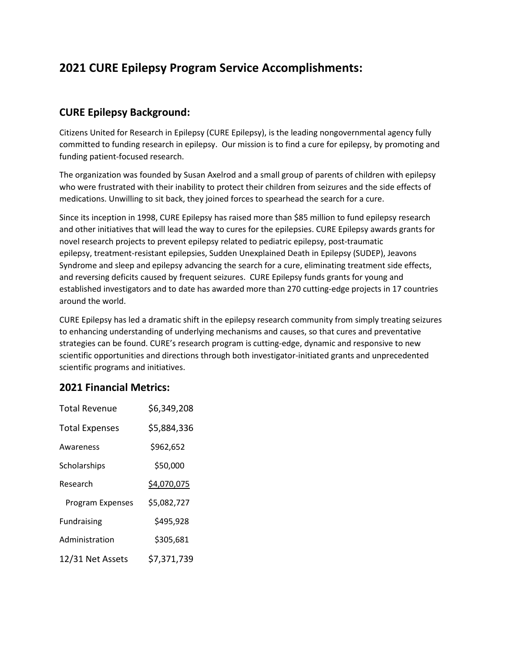# **2021 CURE Epilepsy Program Service Accomplishments:**

## **CURE Epilepsy Background:**

Citizens United for Research in Epilepsy (CURE Epilepsy), is the leading nongovernmental agency fully committed to funding research in epilepsy. Our mission is to find a cure for epilepsy, by promoting and funding patient-focused research.

The organization was founded by Susan Axelrod and a small group of parents of children with epilepsy who were frustrated with their inability to protect their children from seizures and the side effects of medications. Unwilling to sit back, they joined forces to spearhead the search for a cure.

Since its inception in 1998, CURE Epilepsy has raised more than \$85 million to fund epilepsy research and other initiatives that will lead the way to cures for the epilepsies. CURE Epilepsy awards grants for novel research projects to prevent epilepsy related to pediatric epilepsy, post-traumatic epilepsy, treatment-resistant epilepsies, Sudden Unexplained Death in Epilepsy (SUDEP), Jeavons Syndrome and sleep and epilepsy advancing the search for a cure, eliminating treatment side effects, and reversing deficits caused by frequent seizures. CURE Epilepsy funds grants for young and established investigators and to date has awarded more than 270 cutting-edge projects in 17 countries around the world.

CURE Epilepsy has led a dramatic shift in the epilepsy research community from simply treating seizures to enhancing understanding of underlying mechanisms and causes, so that cures and preventative strategies can be found. CURE's research program is cutting-edge, dynamic and responsive to new scientific opportunities and directions through both investigator-initiated grants and unprecedented scientific programs and initiatives.

### **2021 Financial Metrics:**

| <b>Total Revenue</b>  | \$6,349,208 |
|-----------------------|-------------|
| <b>Total Expenses</b> | \$5,884,336 |
| Awareness             | \$962,652   |
| Scholarships          | \$50,000    |
| Research              | \$4,070,075 |
| Program Expenses      | \$5,082,727 |
| <b>Fundraising</b>    | \$495,928   |
| Administration        | \$305,681   |
| 12/31 Net Assets      | \$7,371,739 |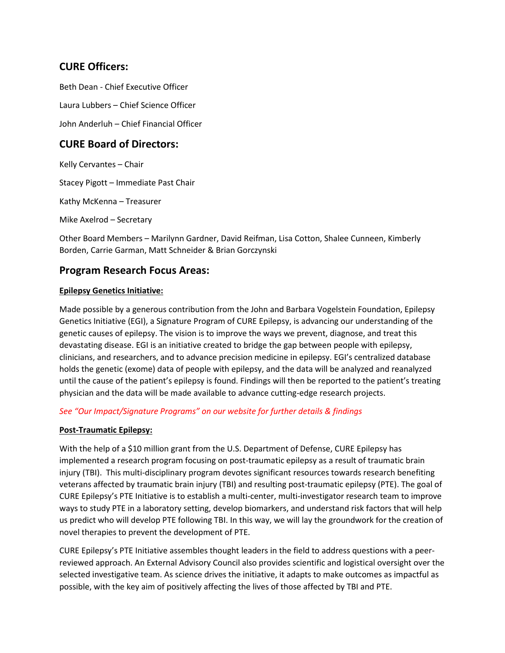## **CURE Officers:**

Beth Dean - Chief Executive Officer Laura Lubbers – Chief Science Officer

John Anderluh – Chief Financial Officer

## **CURE Board of Directors:**

Kelly Cervantes – Chair

Stacey Pigott – Immediate Past Chair

Kathy McKenna – Treasurer

Mike Axelrod – Secretary

Other Board Members – Marilynn Gardner, David Reifman, Lisa Cotton, Shalee Cunneen, Kimberly Borden, Carrie Garman, Matt Schneider & Brian Gorczynski

### **Program Research Focus Areas:**

#### **Epilepsy Genetics Initiative:**

Made possible by a generous contribution from the John and Barbara Vogelstein Foundation, Epilepsy Genetics Initiative (EGI), a Signature Program of CURE Epilepsy, is advancing our understanding of the genetic causes of epilepsy. The vision is to improve the ways we prevent, diagnose, and treat this devastating disease. EGI is an initiative created to bridge the gap between people with epilepsy, clinicians, and researchers, and to advance precision medicine in epilepsy. EGI's centralized database holds the genetic (exome) data of people with epilepsy, and the data will be analyzed and reanalyzed until the cause of the patient's epilepsy is found. Findings will then be reported to the patient's treating physician and the data will be made available to advance cutting-edge research projects.

#### *See "Our Impact/Signature Programs" on our website for further details & findings*

#### **Post-Traumatic Epilepsy:**

With the help of a \$10 million grant from the U.S. Department of Defense, CURE Epilepsy has implemented a research program focusing on post-traumatic epilepsy as a result of traumatic brain injury (TBI). This multi-disciplinary program devotes significant resources towards research benefiting veterans affected by traumatic brain injury (TBI) and resulting post-traumatic epilepsy (PTE). The goal of CURE Epilepsy's PTE Initiative is to establish a multi-center, multi-investigator research team to improve ways to study PTE in a laboratory setting, develop biomarkers, and understand risk factors that will help us predict who will develop PTE following TBI. In this way, we will lay the groundwork for the creation of novel therapies to prevent the development of PTE.

CURE Epilepsy's PTE Initiative assembles thought leaders in the field to address questions with a peerreviewed approach. An External Advisory Council also provides scientific and logistical oversight over the selected investigative team. As science drives the initiative, it adapts to make outcomes as impactful as possible, with the key aim of positively affecting the lives of those affected by TBI and PTE.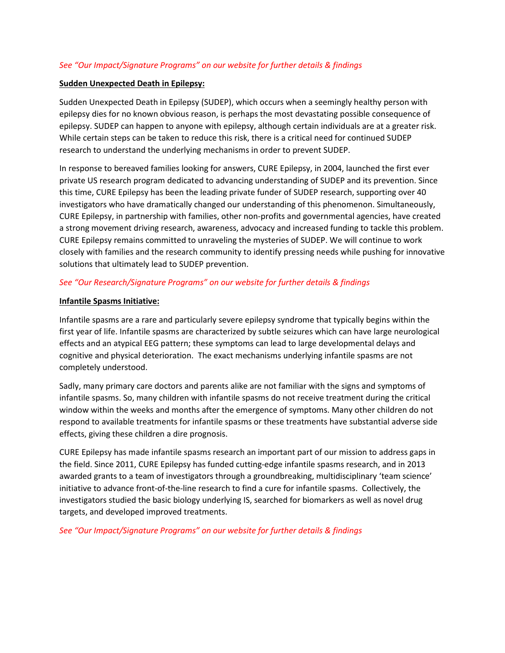#### *See "Our Impact/Signature Programs" on our website for further details & findings*

#### **Sudden Unexpected Death in Epilepsy:**

Sudden Unexpected Death in Epilepsy (SUDEP), which occurs when a seemingly healthy person with epilepsy dies for no known obvious reason, is perhaps the most devastating possible consequence of epilepsy. SUDEP can happen to anyone with epilepsy, although certain individuals are at a greater risk. While certain steps can be taken to reduce this risk, there is a critical need for continued SUDEP research to understand the underlying mechanisms in order to prevent SUDEP.

In response to bereaved families looking for answers, CURE Epilepsy, in 2004, launched the first ever private US research program dedicated to advancing understanding of SUDEP and its prevention. Since this time, CURE Epilepsy has been the leading private funder of SUDEP research, supporting over 40 investigators who have dramatically changed our understanding of this phenomenon. Simultaneously, CURE Epilepsy, in partnership with families, other non-profits and governmental agencies, have created a strong movement driving research, awareness, advocacy and increased funding to tackle this problem. CURE Epilepsy remains committed to unraveling the mysteries of SUDEP. We will continue to work closely with families and the research community to identify pressing needs while pushing for innovative solutions that ultimately lead to SUDEP prevention.

#### *See "Our Research/Signature Programs" on our website for further details & findings*

#### **Infantile Spasms Initiative:**

Infantile spasms are a rare and particularly severe epilepsy syndrome that typically begins within the first year of life. Infantile spasms are characterized by subtle seizures which can have large neurological effects and an atypical EEG pattern; these symptoms can lead to large developmental delays and cognitive and physical deterioration. The exact mechanisms underlying infantile spasms are not completely understood.

Sadly, many primary care doctors and parents alike are not familiar with the signs and symptoms of infantile spasms. So, many children with infantile spasms do not receive treatment during the critical window within the weeks and months after the emergence of symptoms. Many other children do not respond to available treatments for infantile spasms or these treatments have substantial adverse side effects, giving these children a dire prognosis.

CURE Epilepsy has made infantile spasms research an important part of our mission to address gaps in the field. Since 2011, CURE Epilepsy has funded cutting-edge infantile spasms research, and in 2013 awarded grants to a team of investigators through a groundbreaking, multidisciplinary 'team science' initiative to advance front-of-the-line research to find a cure for infantile spasms. Collectively, the investigators studied the basic biology underlying IS, searched for biomarkers as well as novel drug targets, and developed improved treatments.

*See "Our Impact/Signature Programs" on our website for further details & findings*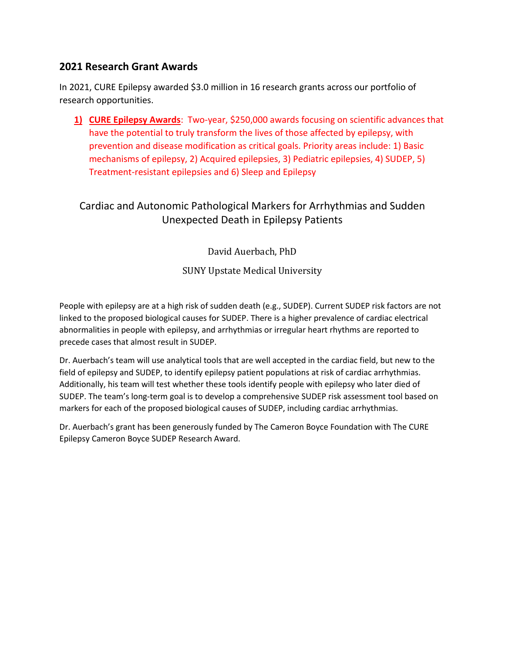### **2021 Research Grant Awards**

In 2021, CURE Epilepsy awarded \$3.0 million in 16 research grants across our portfolio of research opportunities.

**1) CURE Epilepsy Awards**: Two-year, \$250,000 awards focusing on scientific advances that have the potential to truly transform the lives of those affected by epilepsy, with prevention and disease modification as critical goals. Priority areas include: 1) Basic mechanisms of epilepsy, 2) Acquired epilepsies, 3) Pediatric epilepsies, 4) SUDEP, 5) Treatment-resistant epilepsies and 6) Sleep and Epilepsy

## Cardiac and Autonomic Pathological Markers for Arrhythmias and Sudden Unexpected Death in Epilepsy Patients

David Auerbach, PhD

SUNY Upstate Medical University

People with epilepsy are at a high risk of sudden death (e.g., SUDEP). Current SUDEP risk factors are not linked to the proposed biological causes for SUDEP. There is a higher prevalence of cardiac electrical abnormalities in people with epilepsy, and arrhythmias or irregular heart rhythms are reported to precede cases that almost result in SUDEP.

Dr. Auerbach's team will use analytical tools that are well accepted in the cardiac field, but new to the field of epilepsy and SUDEP, to identify epilepsy patient populations at risk of cardiac arrhythmias. Additionally, his team will test whether these tools identify people with epilepsy who later died of SUDEP. The team's long-term goal is to develop a comprehensive SUDEP risk assessment tool based on markers for each of the proposed biological causes of SUDEP, including cardiac arrhythmias.

Dr. Auerbach's grant has been generously funded by The Cameron Boyce Foundation with The CURE Epilepsy Cameron Boyce SUDEP Research Award.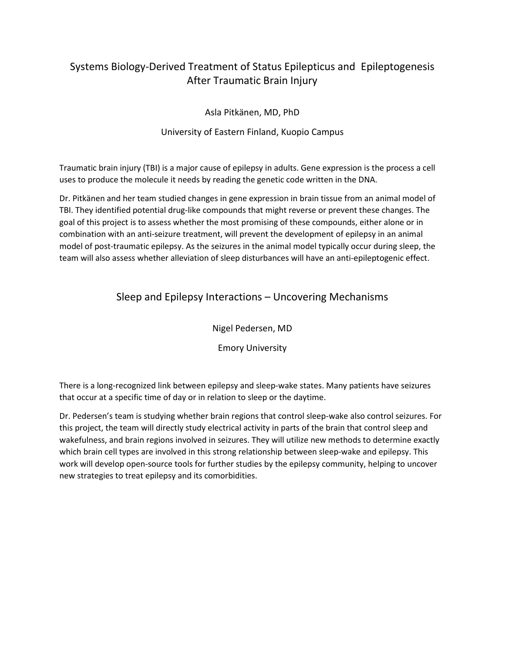## Systems Biology-Derived Treatment of Status Epilepticus and Epileptogenesis After Traumatic Brain Injury

Asla Pitkänen, MD, PhD

#### University of Eastern Finland, Kuopio Campus

Traumatic brain injury (TBI) is a major cause of epilepsy in adults. Gene expression is the process a cell uses to produce the molecule it needs by reading the genetic code written in the DNA.

Dr. Pitkänen and her team studied changes in gene expression in brain tissue from an animal model of TBI. They identified potential drug-like compounds that might reverse or prevent these changes. The goal of this project is to assess whether the most promising of these compounds, either alone or in combination with an anti-seizure treatment, will prevent the development of epilepsy in an animal model of post-traumatic epilepsy. As the seizures in the animal model typically occur during sleep, the team will also assess whether alleviation of sleep disturbances will have an anti-epileptogenic effect.

## Sleep and Epilepsy Interactions – Uncovering Mechanisms

Nigel Pedersen, MD

Emory University

There is a long-recognized link between epilepsy and sleep-wake states. Many patients have seizures that occur at a specific time of day or in relation to sleep or the daytime.

Dr. Pedersen's team is studying whether brain regions that control sleep-wake also control seizures. For this project, the team will directly study electrical activity in parts of the brain that control sleep and wakefulness, and brain regions involved in seizures. They will utilize new methods to determine exactly which brain cell types are involved in this strong relationship between sleep-wake and epilepsy. This work will develop open-source tools for further studies by the epilepsy community, helping to uncover new strategies to treat epilepsy and its comorbidities.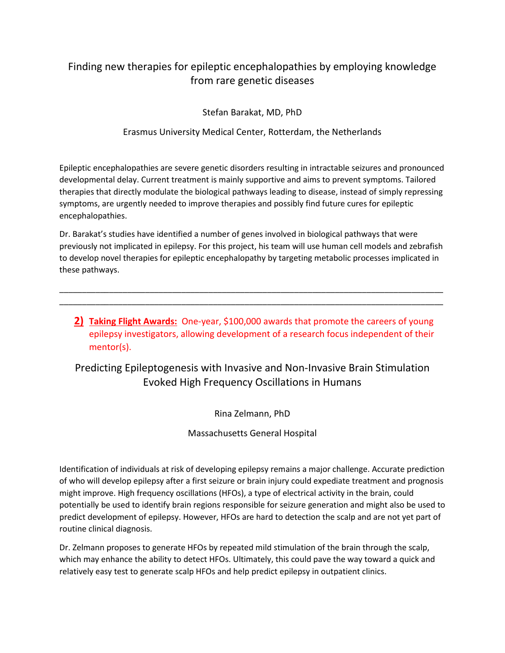## Finding new therapies for epileptic encephalopathies by employing knowledge from rare genetic diseases

Stefan Barakat, MD, PhD

### Erasmus University Medical Center, Rotterdam, the Netherlands

Epileptic encephalopathies are severe genetic disorders resulting in intractable seizures and pronounced developmental delay. Current treatment is mainly supportive and aims to prevent symptoms. Tailored therapies that directly modulate the biological pathways leading to disease, instead of simply repressing symptoms, are urgently needed to improve therapies and possibly find future cures for epileptic encephalopathies.

Dr. Barakat's studies have identified a number of genes involved in biological pathways that were previously not implicated in epilepsy. For this project, his team will use human cell models and zebrafish to develop novel therapies for epileptic encephalopathy by targeting metabolic processes implicated in these pathways.

\_\_\_\_\_\_\_\_\_\_\_\_\_\_\_\_\_\_\_\_\_\_\_\_\_\_\_\_\_\_\_\_\_\_\_\_\_\_\_\_\_\_\_\_\_\_\_\_\_\_\_\_\_\_\_\_\_\_\_\_\_\_\_\_\_\_\_\_\_\_\_\_\_\_\_\_\_\_\_\_\_\_\_\_\_ \_\_\_\_\_\_\_\_\_\_\_\_\_\_\_\_\_\_\_\_\_\_\_\_\_\_\_\_\_\_\_\_\_\_\_\_\_\_\_\_\_\_\_\_\_\_\_\_\_\_\_\_\_\_\_\_\_\_\_\_\_\_\_\_\_\_\_\_\_\_\_\_\_\_\_\_\_\_\_\_\_\_\_\_\_

**2) Taking Flight Awards:** One-year, \$100,000 awards that promote the careers of young epilepsy investigators, allowing development of a research focus independent of their mentor(s).

Predicting Epileptogenesis with Invasive and Non-Invasive Brain Stimulation Evoked High Frequency Oscillations in Humans

Rina Zelmann, PhD

Massachusetts General Hospital

Identification of individuals at risk of developing epilepsy remains a major challenge. Accurate prediction of who will develop epilepsy after a first seizure or brain injury could expediate treatment and prognosis might improve. High frequency oscillations (HFOs), a type of electrical activity in the brain, could potentially be used to identify brain regions responsible for seizure generation and might also be used to predict development of epilepsy. However, HFOs are hard to detection the scalp and are not yet part of routine clinical diagnosis.

Dr. Zelmann proposes to generate HFOs by repeated mild stimulation of the brain through the scalp, which may enhance the ability to detect HFOs. Ultimately, this could pave the way toward a quick and relatively easy test to generate scalp HFOs and help predict epilepsy in outpatient clinics.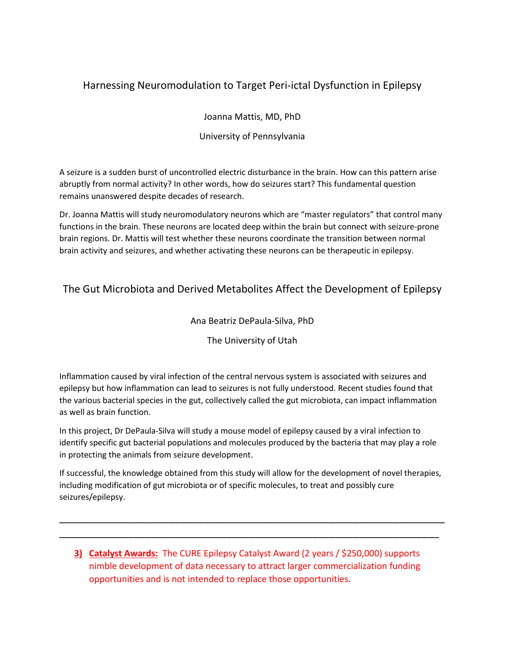## Harnessing Neuromodulation to Target Peri-ictal Dysfunction in Epilepsy

Joanna Mattis, MD, PhD

University of Pennsylvania

A seizure is a sudden burst of uncontrolled electric disturbance in the brain. How can this pattern arise abruptly from normal activity? In other words, how do seizures start? This fundamental question remains unanswered despite decades of research.

Dr. Joanna Mattis will study neuromodulatory neurons which are "master regulators" that control many functions in the brain. These neurons are located deep within the brain but connect with seizure-prone brain regions. Dr. Mattis will test whether these neurons coordinate the transition between normal brain activity and seizures, and whether activating these neurons can be therapeutic in epilepsy.

## The Gut Microbiota and Derived Metabolites Affect the Development of Epilepsy

### Ana Beatriz DePaula-Silva, PhD

### The University of Utah

Inflammation caused by viral infection of the central nervous system is associated with seizures and epilepsy but how inflammation can lead to seizures is not fully understood. Recent studies found that the various bacterial species in the gut, collectively called the gut microbiota, can impact inflammation as well as brain function.

In this project, Dr DePaula-Silva will study a mouse model of epilepsy caused by a viral infection to identify specific gut bacterial populations and molecules produced by the bacteria that may play a role in protecting the animals from seizure development.

If successful, the knowledge obtained from this study will allow for the development of novel therapies, including modification of gut microbiota or of specific molecules, to treat and possibly cure seizures/epilepsy.

\_\_\_\_\_\_\_\_\_\_\_\_\_\_\_\_\_\_\_\_\_\_\_\_\_\_\_\_\_\_\_\_\_\_\_\_\_\_\_\_\_\_\_\_\_\_\_\_\_\_\_\_\_\_\_\_\_\_\_\_\_\_\_\_\_\_\_ \_\_\_\_\_\_\_\_\_\_\_\_\_\_\_\_\_\_\_\_\_\_\_\_\_\_\_\_\_\_\_\_\_\_\_\_\_\_\_\_\_\_\_\_\_\_\_\_\_\_\_\_\_\_\_\_\_\_\_\_\_\_\_\_\_\_

**3) Catalyst Awards:** The CURE Epilepsy Catalyst Award (2 years / \$250,000) supports nimble development of data necessary to attract larger commercialization funding opportunities and is not intended to replace those opportunities.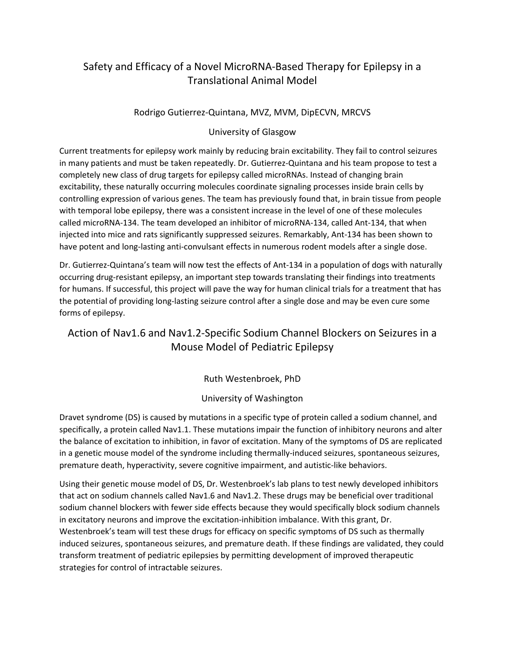## Safety and Efficacy of a Novel MicroRNA-Based Therapy for Epilepsy in a Translational Animal Model

### Rodrigo Gutierrez-Quintana, MVZ, MVM, DipECVN, MRCVS

#### University of Glasgow

Current treatments for epilepsy work mainly by reducing brain excitability. They fail to control seizures in many patients and must be taken repeatedly. Dr. Gutierrez-Quintana and his team propose to test a completely new class of drug targets for epilepsy called microRNAs. Instead of changing brain excitability, these naturally occurring molecules coordinate signaling processes inside brain cells by controlling expression of various genes. The team has previously found that, in brain tissue from people with temporal lobe epilepsy, there was a consistent increase in the level of one of these molecules called microRNA-134. The team developed an inhibitor of microRNA-134, called Ant-134, that when injected into mice and rats significantly suppressed seizures. Remarkably, Ant-134 has been shown to have potent and long-lasting anti-convulsant effects in numerous rodent models after a single dose.

Dr. Gutierrez-Quintana's team will now test the effects of Ant-134 in a population of dogs with naturally occurring drug-resistant epilepsy, an important step towards translating their findings into treatments for humans. If successful, this project will pave the way for human clinical trials for a treatment that has the potential of providing long-lasting seizure control after a single dose and may be even cure some forms of epilepsy.

## Action of Nav1.6 and Nav1.2-Specific Sodium Channel Blockers on Seizures in a Mouse Model of Pediatric Epilepsy

Ruth Westenbroek, PhD

### University of Washington

Dravet syndrome (DS) is caused by mutations in a specific type of protein called a sodium channel, and specifically, a protein called Nav1.1. These mutations impair the function of inhibitory neurons and alter the balance of excitation to inhibition, in favor of excitation. Many of the symptoms of DS are replicated in a genetic mouse model of the syndrome including thermally-induced seizures, spontaneous seizures, premature death, hyperactivity, severe cognitive impairment, and autistic-like behaviors.

Using their genetic mouse model of DS, Dr. Westenbroek's lab plans to test newly developed inhibitors that act on sodium channels called Nav1.6 and Nav1.2. These drugs may be beneficial over traditional sodium channel blockers with fewer side effects because they would specifically block sodium channels in excitatory neurons and improve the excitation-inhibition imbalance. With this grant, Dr. Westenbroek's team will test these drugs for efficacy on specific symptoms of DS such as thermally induced seizures, spontaneous seizures, and premature death. If these findings are validated, they could transform treatment of pediatric epilepsies by permitting development of improved therapeutic strategies for control of intractable seizures.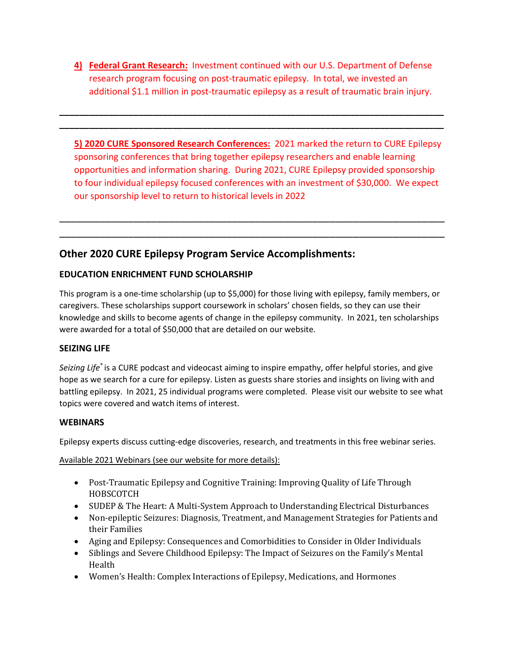**4) Federal Grant Research:** Investment continued with our U.S. Department of Defense research program focusing on post-traumatic epilepsy. In total, we invested an additional \$1.1 million in post-traumatic epilepsy as a result of traumatic brain injury.

**\_\_\_\_\_\_\_\_\_\_\_\_\_\_\_\_\_\_\_\_\_\_\_\_\_\_\_\_\_\_\_\_\_\_\_\_\_\_\_\_\_\_\_\_\_\_\_\_\_\_\_\_\_\_\_\_\_\_\_\_\_\_\_\_\_\_\_\_\_\_\_\_\_\_\_\_\_\_ \_\_\_\_\_\_\_\_\_\_\_\_\_\_\_\_\_\_\_\_\_\_\_\_\_\_\_\_\_\_\_\_\_\_\_\_\_\_\_\_\_\_\_\_\_\_\_\_\_\_\_\_\_\_\_\_\_\_\_\_\_\_\_\_\_\_\_\_\_\_\_\_\_\_\_\_\_\_**

**5) 2020 CURE Sponsored Research Conferences:** 2021 marked the return to CURE Epilepsy sponsoring conferences that bring together epilepsy researchers and enable learning opportunities and information sharing. During 2021, CURE Epilepsy provided sponsorship to four individual epilepsy focused conferences with an investment of \$30,000. We expect our sponsorship level to return to historical levels in 2022

\_\_\_\_\_\_\_\_\_\_\_\_\_\_\_\_\_\_\_\_\_\_\_\_\_\_\_\_\_\_\_\_\_\_\_\_\_\_\_\_\_\_\_\_\_\_\_\_\_\_\_\_\_\_\_\_\_\_\_\_\_\_\_\_\_\_\_ \_\_\_\_\_\_\_\_\_\_\_\_\_\_\_\_\_\_\_\_\_\_\_\_\_\_\_\_\_\_\_\_\_\_\_\_\_\_\_\_\_\_\_\_\_\_\_\_\_\_\_\_\_\_\_\_\_\_\_\_\_\_\_\_\_\_\_

## **Other 2020 CURE Epilepsy Program Service Accomplishments:**

### **EDUCATION ENRICHMENT FUND SCHOLARSHIP**

This program is a one-time scholarship (up to \$5,000) for those living with epilepsy, family members, or caregivers. These scholarships support coursework in scholars' chosen fields, so they can use their knowledge and skills to become agents of change in the epilepsy community. In 2021, ten scholarships were awarded for a total of \$50,000 that are detailed on our website.

### **SEIZING LIFE**

*Seizing Life*® is a CURE podcast and videocast aiming to inspire empathy, offer helpful stories, and give hope as we search for a cure for epilepsy. Listen as guests share stories and insights on living with and battling epilepsy. In 2021, 25 individual programs were completed. Please visit our website to see what topics were covered and watch items of interest.

### **WEBINARS**

Epilepsy experts discuss cutting-edge discoveries, research, and treatments in this free webinar series.

Available 2021 Webinars (see our website for more details):

- Post-Traumatic Epilepsy and Cognitive Training: Improving Quality of Life Through HOBSCOTCH
- SUDEP & The Heart: A Multi-System Approach to Understanding Electrical Disturbances
- Non-epileptic Seizures: Diagnosis, Treatment, and Management Strategies for Patients and their Families
- Aging and Epilepsy: Consequences and Comorbidities to Consider in Older Individuals
- Siblings and Severe Childhood Epilepsy: The Impact of Seizures on the Family's Mental Health
- Women's Health: Complex Interactions of Epilepsy, Medications, and Hormones